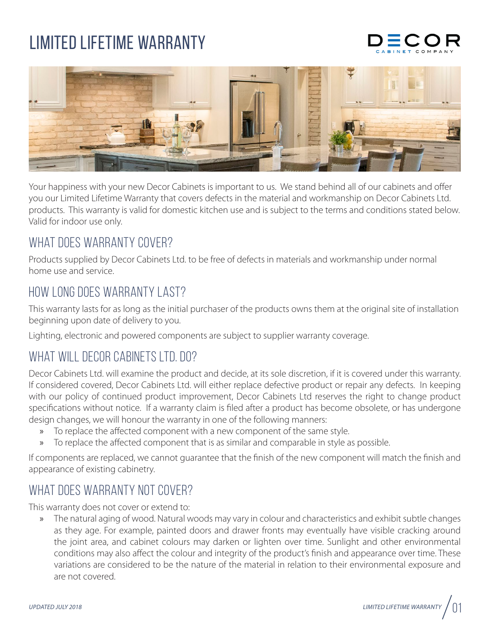## Limited lifetime warrantY





Your happiness with your new Decor Cabinets is important to us. We stand behind all of our cabinets and offer you our Limited Lifetime Warranty that covers defects in the material and workmanship on Decor Cabinets Ltd. products. This warranty is valid for domestic kitchen use and is subject to the terms and conditions stated below. Valid for indoor use only.

#### WHAT DOES WARRANTY COVER?

Products supplied by Decor Cabinets Ltd. to be free of defects in materials and workmanship under normal home use and service.

#### How long does warranty last?

This warranty lasts for as long as the initial purchaser of the products owns them at the original site of installation beginning upon date of delivery to you.

Lighting, electronic and powered components are subject to supplier warranty coverage.

### WHAT WILL DECOR CABINETS LTD. DO?

Decor Cabinets Ltd. will examine the product and decide, at its sole discretion, if it is covered under this warranty. If considered covered, Decor Cabinets Ltd. will either replace defective product or repair any defects. In keeping with our policy of continued product improvement, Decor Cabinets Ltd reserves the right to change product specifications without notice. If a warranty claim is filed after a product has become obsolete, or has undergone design changes, we will honour the warranty in one of the following manners:

- » To replace the affected component with a new component of the same style.
- » To replace the affected component that is as similar and comparable in style as possible.

If components are replaced, we cannot guarantee that the finish of the new component will match the finish and appearance of existing cabinetry.

### WHAT DOES WARRANTY NOT COVER?

This warranty does not cover or extend to:

» The natural aging of wood. Natural woods may vary in colour and characteristics and exhibit subtle changes as they age. For example, painted doors and drawer fronts may eventually have visible cracking around the joint area, and cabinet colours may darken or lighten over time. Sunlight and other environmental conditions may also affect the colour and integrity of the product's finish and appearance over time. These variations are considered to be the nature of the material in relation to their environmental exposure and are not covered.